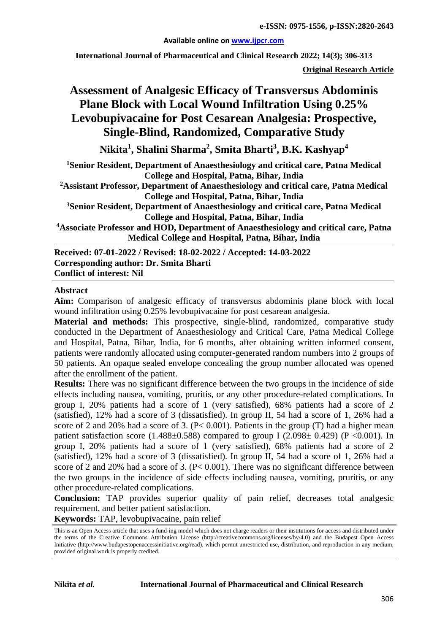#### **Available online on [www.ijpcr.com](http://www.ijpcr.com/)**

**International Journal of Pharmaceutical and Clinical Research 2022; 14(3); 306-313**

**Original Research Article**

# **Assessment of Analgesic Efficacy of Transversus Abdominis Plane Block with Local Wound Infiltration Using 0.25% Levobupivacaine for Post Cesarean Analgesia: Prospective, Single-Blind, Randomized, Comparative Study**

**Nikita1 , Shalini Sharma<sup>2</sup> , Smita Bharti<sup>3</sup> , B.K. Kashyap4**

**1 Senior Resident, Department of Anaesthesiology and critical care, Patna Medical College and Hospital, Patna, Bihar, India**

**2 Assistant Professor, Department of Anaesthesiology and critical care, Patna Medical College and Hospital, Patna, Bihar, India**

**3 Senior Resident, Department of Anaesthesiology and critical care, Patna Medical College and Hospital, Patna, Bihar, India**

**4 Associate Professor and HOD, Department of Anaesthesiology and critical care, Patna Medical College and Hospital, Patna, Bihar, India**

**Received: 07-01-2022 / Revised: 18-02-2022 / Accepted: 14-03-2022 Corresponding author: Dr. Smita Bharti Conflict of interest: Nil**

#### **Abstract**

**Aim:** Comparison of analgesic efficacy of transversus abdominis plane block with local wound infiltration using 0.25% levobupivacaine for post cesarean analgesia.

**Material and methods:** This prospective, single-blind, randomized, comparative study conducted in the Department of Anaesthesiology and Critical Care, Patna Medical College and Hospital, Patna, Bihar, India, for 6 months, after obtaining written informed consent, patients were randomly allocated using computer-generated random numbers into 2 groups of 50 patients. An opaque sealed envelope concealing the group number allocated was opened after the enrollment of the patient.

**Results:** There was no significant difference between the two groups in the incidence of side effects including nausea, vomiting, pruritis, or any other procedure-related complications. In group I, 20% patients had a score of 1 (very satisfied), 68% patients had a score of 2 (satisfied), 12% had a score of 3 (dissatisfied). In group II, 54 had a score of 1, 26% had a score of 2 and 20% had a score of 3.  $(P< 0.001)$ . Patients in the group (T) had a higher mean patient satisfaction score (1.488 $\pm$ 0.588) compared to group I (2.098 $\pm$  0.429) (P <0.001). In group I, 20% patients had a score of 1 (very satisfied), 68% patients had a score of 2 (satisfied), 12% had a score of 3 (dissatisfied). In group II, 54 had a score of 1, 26% had a score of 2 and 20% had a score of 3. (P< 0.001). There was no significant difference between the two groups in the incidence of side effects including nausea, vomiting, pruritis, or any other procedure-related complications.

**Conclusion:** TAP provides superior quality of pain relief, decreases total analgesic requirement, and better patient satisfaction.

**Keywords:** TAP, levobupivacaine, pain relief

This is an Open Access article that uses a fund-ing model which does not charge readers or their institutions for access and distributed under the terms of the Creative Commons Attribution License (http://creativecommons.org/licenses/by/4.0) and the Budapest Open Access Initiative (http://www.budapestopenaccessinitiative.org/read), which permit unrestricted use, distribution, and reproduction in any medium, provided original work is properly credited.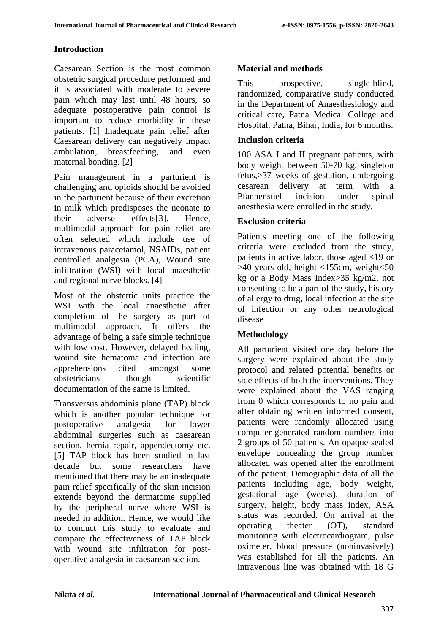#### **Introduction**

Caesarean Section is the most common obstetric surgical procedure performed and it is associated with moderate to severe pain which may last until 48 hours, so adequate postoperative pain control is important to reduce morbidity in these patients. [1] Inadequate pain relief after Caesarean delivery can negatively impact ambulation, breastfeeding, and even maternal bonding. [2]

Pain management in a parturient is challenging and opioids should be avoided in the parturient because of their excretion in milk which predisposes the neonate to their adverse effects[3]. Hence, multimodal approach for pain relief are often selected which include use of intravenous paracetamol, NSAIDs, patient controlled analgesia (PCA), Wound site infiltration (WSI) with local anaesthetic and regional nerve blocks. [4]

Most of the obstetric units practice the WSI with the local anaesthetic after completion of the surgery as part of multimodal approach. It offers the advantage of being a safe simple technique with low cost. However, delayed healing, wound site hematoma and infection are apprehensions cited amongst some obstetricians though scientific documentation of the same is limited.

Transversus abdominis plane (TAP) block which is another popular technique for postoperative analgesia for lower abdominal surgeries such as caesarean section, hernia repair, appendectomy etc. [5] TAP block has been studied in last decade but some researchers have mentioned that there may be an inadequate pain relief specifically of the skin incision extends beyond the dermatome supplied by the peripheral nerve where WSI is needed in addition. Hence, we would like to conduct this study to evaluate and compare the effectiveness of TAP block with wound site infiltration for postoperative analgesia in caesarean section.

## **Material and methods**

This prospective, single-blind, randomized, comparative study conducted in the Department of Anaesthesiology and critical care, Patna Medical College and Hospital, Patna, Bihar, India, for 6 months.

#### **Inclusion criteria**

100 ASA I and II pregnant patients, with body weight between 50-70 kg, singleton fetus,>37 weeks of gestation, undergoing cesarean delivery at term with a Pfannenstiel incision under spinal anesthesia were enrolled in the study.

#### **Exclusion criteria**

Patients meeting one of the following criteria were excluded from the study, patients in active labor, those aged <19 or  $>40$  years old, height  $<$ 155cm, weight $<$ 50 kg or a Body Mass Index>35 kg/m2, not consenting to be a part of the study, history of allergy to drug, local infection at the site of infection or any other neurological disease

### **Methodology**

All parturient visited one day before the surgery were explained about the study protocol and related potential benefits or side effects of both the interventions. They were explained about the VAS ranging from 0 which corresponds to no pain and after obtaining written informed consent, patients were randomly allocated using computer-generated random numbers into 2 groups of 50 patients. An opaque sealed envelope concealing the group number allocated was opened after the enrollment of the patient. Demographic data of all the patients including age, body weight, gestational age (weeks), duration of surgery, height, body mass index, ASA status was recorded. On arrival at the operating theater (OT), standard monitoring with electrocardiogram, pulse oximeter, blood pressure (noninvasively) was established for all the patients. An intravenous line was obtained with 18 G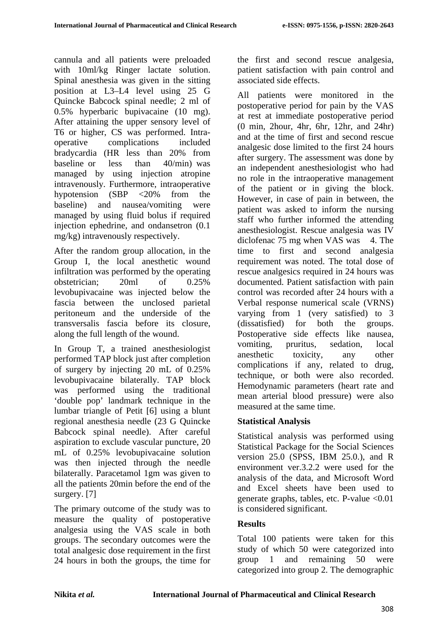cannula and all patients were preloaded with 10ml/kg Ringer lactate solution. Spinal anesthesia was given in the sitting position at L3–L4 level using 25 G Quincke Babcock spinal needle; 2 ml of 0.5% hyperbaric bupivacaine (10 mg). After attaining the upper sensory level of T6 or higher, CS was performed. Intraoperative complications included bradycardia (HR less than 20% from baseline or less than 40/min) was managed by using injection atropine intravenously. Furthermore, intraoperative hypotension (SBP <20% from the baseline) and nausea/vomiting were managed by using fluid bolus if required injection ephedrine, and ondansetron (0.1 mg/kg) intravenously respectively.

After the random group allocation, in the Group I, the local anesthetic wound infiltration was performed by the operating obstetrician; 20ml of 0.25% levobupivacaine was injected below the fascia between the unclosed parietal peritoneum and the underside of the transversalis fascia before its closure, along the full length of the wound.

In Group T, a trained anesthesiologist performed TAP block just after completion of surgery by injecting 20 mL of 0.25% levobupivacaine bilaterally. TAP block was performed using the traditional 'double pop' landmark technique in the lumbar triangle of Petit [6] using a blunt regional anesthesia needle (23 G Quincke Babcock spinal needle). After careful aspiration to exclude vascular puncture, 20 mL of 0.25% levobupivacaine solution was then injected through the needle bilaterally. Paracetamol 1gm was given to all the patients 20min before the end of the surgery. [7]

The primary outcome of the study was to measure the quality of postoperative analgesia using the VAS scale in both groups. The secondary outcomes were the total analgesic dose requirement in the first 24 hours in both the groups, the time for the first and second rescue analgesia, patient satisfaction with pain control and associated side effects.

All patients were monitored in the postoperative period for pain by the VAS at rest at immediate postoperative period (0 min, 2hour, 4hr, 6hr, 12hr, and 24hr) and at the time of first and second rescue analgesic dose limited to the first 24 hours after surgery. The assessment was done by an independent anesthesiologist who had no role in the intraoperative management of the patient or in giving the block. However, in case of pain in between, the patient was asked to inform the nursing staff who further informed the attending anesthesiologist. Rescue analgesia was IV diclofenac 75 mg when VAS was 4. The time to first and second analgesia requirement was noted. The total dose of rescue analgesics required in 24 hours was documented. Patient satisfaction with pain control was recorded after 24 hours with a Verbal response numerical scale (VRNS) varying from 1 (very satisfied) to 3 (dissatisfied) for both the groups. Postoperative side effects like nausea, vomiting, pruritus, sedation, local anesthetic toxicity, any other complications if any, related to drug, technique, or both were also recorded. Hemodynamic parameters (heart rate and mean arterial blood pressure) were also measured at the same time.

### **Statistical Analysis**

Statistical analysis was performed using Statistical Package for the Social Sciences version 25.0 (SPSS, IBM 25.0.), and R environment ver.3.2.2 were used for the analysis of the data, and Microsoft Word and Excel sheets have been used to generate graphs, tables, etc. P-value <0.01 is considered significant.

### **Results**

Total 100 patients were taken for this study of which 50 were categorized into group 1 and remaining 50 were categorized into group 2. The demographic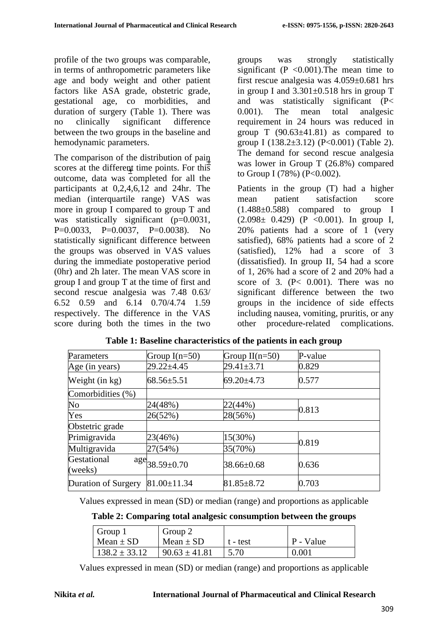profile of the two groups was comparable, in terms of anthropometric parameters like age and body weight and other patient factors like ASA grade, obstetric grade, gestational age, co morbidities, and duration of surgery (Table 1). There was no clinically significant difference between the two groups in the baseline and hemodynamic parameters.

The comparison of the distribution of pain scores at the different time points. For this outcome, data was completed for all the participants at 0,2,4,6,12 and 24hr. The median (interquartile range) VAS was more in group I compared to group T and was statistically significant (p=0.0031, P=0.0033, P=0.0037, P=0.0038). No statistically significant difference between the groups was observed in VAS values during the immediate postoperative period (0hr) and 2h later. The mean VAS score in group I and group T at the time of first and second rescue analgesia was 7.48 0.63/ 6.52 0.59 and 6.14 0.70/4.74 1.59 respectively. The difference in the VAS score during both the times in the two ±

groups was strongly statistically significant (P  $< 0.001$ ). The mean time to first rescue analgesia was 4.059±0.681 hrs in group I and  $3.301 \pm 0.518$  hrs in group T and was statistically significant (P< 0.001). The mean total analgesic requirement in 24 hours was reduced in group T  $(90.63\pm41.81)$  as compared to group I (138.2 $\pm$ 3.12) (P<0.001) (Table 2). The demand for second rescue analgesia was lower in Group T (26.8%) compared to Group I (78%) ( $P<0.002$ ).

Patients in the group (T) had a higher mean patient satisfaction score (1.488±0.588) compared to group I  $(2.098 \pm 0.429)$  (P < 0.001). In group I, 20% patients had a score of 1 (very satisfied), 68% patients had a score of 2 (satisfied), 12% had a score of 3 (dissatisfied). In group II, 54 had a score of 1, 26% had a score of 2 and 20% had a score of 3.  $(P< 0.001)$ . There was no significant difference between the two groups in the incidence of side effects including nausea, vomiting, pruritis, or any other procedure-related complications.

| Parameters             | Group $I(n=50)$                            | Group $II(n=50)$ | P-value |  |
|------------------------|--------------------------------------------|------------------|---------|--|
| Age (in years)         | $29.22 \pm 4.45$                           | $29.41 \pm 3.71$ | 0.829   |  |
| Weight (in kg)         | $68.56 \pm 5.51$                           | $69.20 \pm 4.73$ | 0.577   |  |
| Comorbidities (%)      |                                            |                  |         |  |
| No                     | 24(48%)                                    | 22(44%)          | 0.813   |  |
| Yes                    | 26(52%)                                    | 28(56%)          |         |  |
| Obstetric grade        |                                            |                  |         |  |
| Primigravida           | 23(46%)                                    | 15(30%)          | 0.819   |  |
| Multigravida           | 27(54%)                                    | 35(70%)          |         |  |
| Gestational<br>(weeks) | $\frac{\text{age}}{\text{38.59} \pm 0.70}$ | 38.66±0.68       | 0.636   |  |
| Duration of Surgery    | $81.00 \pm 11.34$                          | $81.85 \pm 8.72$ | 0.703   |  |

|  |  | Table 1: Baseline characteristics of the patients in each group |  |  |  |
|--|--|-----------------------------------------------------------------|--|--|--|
|--|--|-----------------------------------------------------------------|--|--|--|

Values expressed in mean (SD) or median (range) and proportions as applicable

**Table 2: Comparing total analgesic consumption between the groups**

| Group 1           | Group 2           |          |           |
|-------------------|-------------------|----------|-----------|
| $Mean \pm SD$     | Mean $\pm$ SD     | t - test | P - Value |
| $138.2 \pm 33.12$ | $90.63 \pm 41.81$ | 5.70     | 0.001     |

Values expressed in mean (SD) or median (range) and proportions as applicable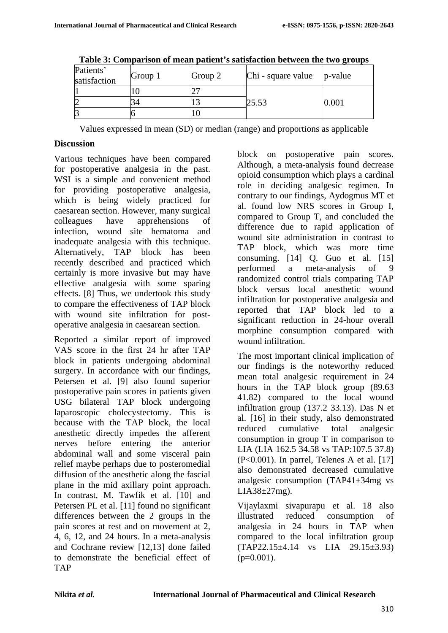| Patients'<br>satisfaction | Group 1 | Group 2 | Chi - square value | p-value |
|---------------------------|---------|---------|--------------------|---------|
|                           |         |         |                    |         |
|                           |         |         | 25.53              | ഥി      |
|                           |         |         |                    |         |

**Table 3: Comparison of mean patient's satisfaction between the two groups**

Values expressed in mean (SD) or median (range) and proportions as applicable

#### **Discussion**

Various techniques have been compared for postoperative analgesia in the past. WSI is a simple and convenient method for providing postoperative analgesia, which is being widely practiced for caesarean section. However, many surgical colleagues have apprehensions of infection, wound site hematoma and inadequate analgesia with this technique. Alternatively, TAP block has been recently described and practiced which certainly is more invasive but may have effective analgesia with some sparing effects. [8] Thus, we undertook this study to compare the effectiveness of TAP block with wound site infiltration for postoperative analgesia in caesarean section.

Reported a similar report of improved VAS score in the first 24 hr after TAP block in patients undergoing abdominal surgery. In accordance with our findings, Petersen et al. [9] also found superior postoperative pain scores in patients given USG bilateral TAP block undergoing laparoscopic cholecystectomy. This is because with the TAP block, the local anesthetic directly impedes the afferent nerves before entering the anterior abdominal wall and some visceral pain relief maybe perhaps due to posteromedial diffusion of the anesthetic along the fascial plane in the mid axillary point approach. In contrast, M. Tawfik et al. [10] and Petersen PL et al. [11] found no significant differences between the 2 groups in the pain scores at rest and on movement at 2, 4, 6, 12, and 24 hours. In a meta-analysis and Cochrane review [12,13] done failed to demonstrate the beneficial effect of TAP

block on postoperative pain scores. Although, a meta-analysis found decrease opioid consumption which plays a cardinal role in deciding analgesic regimen. In contrary to our findings, Aydogmus MT et al. found low NRS scores in Group I, compared to Group T, and concluded the difference due to rapid application of wound site administration in contrast to TAP block, which was more time consuming. [14] Q. Guo et al. [15] performed a meta-analysis of 9 randomized control trials comparing TAP block versus local anesthetic wound infiltration for postoperative analgesia and reported that TAP block led to a significant reduction in 24-hour overall morphine consumption compared with wound infiltration.

The most important clinical implication of our findings is the noteworthy reduced mean total analgesic requirement in 24 hours in the TAP block group (89.63 41.82) compared to the local wound infiltration group (137.2 33.13). Das N et al. [16] in their study, also demonstrated reduced cumulative total analgesic consumption in group T in comparison to LIA (LIA 162.5 34.58 vs TAP:107.5 37.8) (P<0.001). In parrel, Telenes A et al. [17] also demonstrated decreased cumulative analgesic consumption (TAP41±34mg vs  $LIA38\pm27mg$ ).

Vijaylaxmi sivapurapu et al. 18 also illustrated reduced consumption of analgesia in 24 hours in TAP when compared to the local infiltration group (TAP22.15±4.14 vs LIA 29.15±3.93)  $(p=0.001)$ .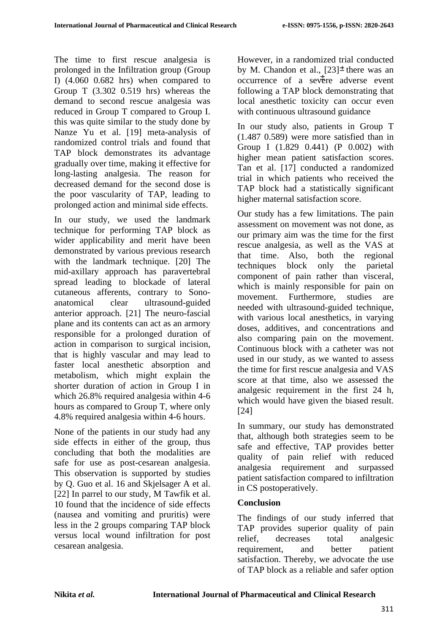The time to first rescue analgesia is prolonged in the Infiltration group (Group I) (4.060 0.682 hrs) when compared to Group T (3.302 0.519 hrs) whereas the demand to second rescue analgesia was reduced in Group T compared to Group I. this was quite similar to the study done by Nanze Yu et al. [19] meta-analysis of randomized control trials and found that TAP block demonstrates its advantage gradually over time, making it effective for long-lasting analgesia. The reason for decreased demand for the second dose is the poor vascularity of TAP, leading to prolonged action and minimal side effects.

In our study, we used the landmark technique for performing TAP block as wider applicability and merit have been demonstrated by various previous research with the landmark technique. [20] The mid-axillary approach has paravertebral spread leading to blockade of lateral cutaneous afferents, contrary to Sonoanatomical clear ultrasound-guided anterior approach. [21] The neuro-fascial plane and its contents can act as an armory responsible for a prolonged duration of action in comparison to surgical incision, that is highly vascular and may lead to faster local anesthetic absorption and metabolism, which might explain the shorter duration of action in Group I in which 26.8% required analgesia within 4-6 hours as compared to Group T, where only 4.8% required analgesia within 4-6 hours.

None of the patients in our study had any side effects in either of the group, thus concluding that both the modalities are safe for use as post-cesarean analgesia. This observation is supported by studies by Q. Guo et al. 16 and Skjelsager A et al. [22] In parrel to our study, M Tawfik et al. 10 found that the incidence of side effects (nausea and vomiting and pruritis) were less in the 2 groups comparing TAP block versus local wound infiltration for post cesarean analgesia.

However, in a randomized trial conducted by M. Chandon et al.,  $[23]^\pm$  there was an  $\overline{\text{occurrence}}$  of a severe adverse event following a TAP block demonstrating that local anesthetic toxicity can occur even with continuous ultrasound guidance

In our study also, patients in Group T (1.487 0.589) were more satisfied than in Group I (1.829 0.441) (P 0.002) with higher mean patient satisfaction scores. Tan et al. [17] conducted a randomized trial in which patients who received the TAP block had a statistically significant higher maternal satisfaction score.

Our study has a few limitations. The pain assessment on movement was not done, as our primary aim was the time for the first rescue analgesia, as well as the VAS at that time. Also, both the regional techniques block only the parietal component of pain rather than visceral, which is mainly responsible for pain on movement. Furthermore, studies are needed with ultrasound-guided technique, with various local anesthetics, in varying doses, additives, and concentrations and also comparing pain on the movement. Continuous block with a catheter was not used in our study, as we wanted to assess the time for first rescue analgesia and VAS score at that time, also we assessed the analgesic requirement in the first 24 h, which would have given the biased result. [24]

In summary, our study has demonstrated that, although both strategies seem to be safe and effective, TAP provides better quality of pain relief with reduced analgesia requirement and surpassed patient satisfaction compared to infiltration in CS postoperatively.

### **Conclusion**

The findings of our study inferred that TAP provides superior quality of pain relief, decreases total analgesic requirement, and better patient satisfaction. Thereby, we advocate the use of TAP block as a reliable and safer option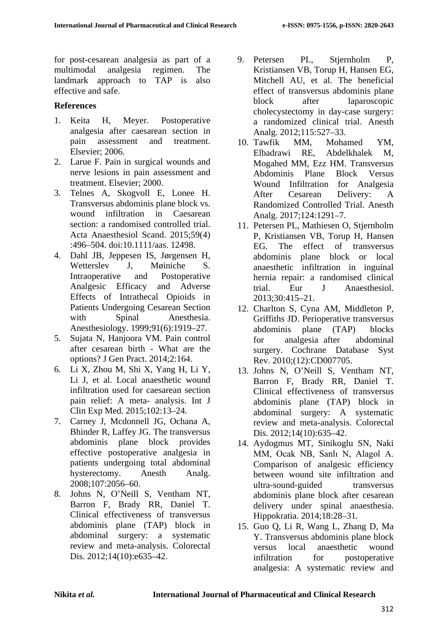for post-cesarean analgesia as part of a multimodal analgesia regimen. The landmark approach to TAP is also effective and safe.

#### **References**

- 1. Keita H, Meyer. Postoperative analgesia after caesarean section in pain assessment and treatment. Elsevier; 2006.
- 2. Larue F. Pain in surgical wounds and nerve lesions in pain assessment and treatment. Elsevier; 2000.
- 3. Telnes A, Skogvoll E, Lonee H. Transversus abdominis plane block vs. wound infiltration in Caesarean section: a randomised controlled trial. Acta Anaesthesiol Scand. 2015;59(4) :496–504. [doi:10.1111/aas. 12498.](http://dx.doi.org/10.1111/aas.12498)
- 4. Dahl JB, Jeppesen IS, Jørgensen H, Wetterslev J, Møiniche S. Intraoperative and Postoperative Analgesic Efficacy and Adverse Effects of Intrathecal Opioids in Patients Undergoing Cesarean Section with Spinal Anesthesia. Anesthesiology. 1999;91(6):1919–27.
- 5. Sujata N, Hanjoora VM. Pain control after cesarean birth - What are the options? J Gen Pract. 2014;2:164.
- 6. Li X, Zhou M, Shi X, Yang H, Li Y, Li J, et al. Local anaesthetic wound infiltration used for caesarean section pain relief: A meta- analysis. Int J Clin Exp Med. 2015;102:13–24.
- 7. Carney J, Mcdonnell JG, Ochana A, Bhinder R, Laffey JG. The transversus abdominis plane block provides effective postoperative analgesia in patients undergoing total abdominal hysterectomy. Anesth Analg. 2008;107:2056–60.
- 8. Johns N, O'Neill S, Ventham NT, Barron F, Brady RR, Daniel T. Clinical effectiveness of transversus abdominis plane (TAP) block in abdominal surgery: a systematic review and meta-analysis. Colorectal Dis. 2012;14(10):e635–42.
- 9. Petersen PL, Stjernholm P, Kristiansen VB, Torup H, Hansen EG, Mitchell AU, et al. The beneficial effect of transversus abdominis plane block after laparoscopic cholecystectomy in day-case surgery: a randomized clinical trial. Anesth Analg. 2012;115:527–33.
- 10. Tawfik MM, Mohamed YM, Elbadrawi RE, Abdelkhalek M, Mogahed MM, Ezz HM. Transversus Abdominis Plane Block Versus Wound Infiltration for Analgesia After Cesarean Delivery: A Randomized Controlled Trial. Anesth Analg. 2017;124:1291–7.
- 11. Petersen PL, Mathiesen O, Stjernholm P, Kristiansen VB, Torup H, Hansen EG. The effect of transversus abdominis plane block or local anaesthetic infiltration in inguinal hernia repair: a randomised clinical trial. Eur J Anaesthesiol. 2013;30:415–21.
- 12. Charlton S, Cyna AM, Middleton P, Griffiths JD. Perioperative transversus abdominis plane (TAP) blocks for analgesia after abdominal surgery. Cochrane Database Syst Rev. 2010;(12):CD007705.
- 13. Johns N, O'Neill S, Ventham NT, Barron F, Brady RR, Daniel T. Clinical effectiveness of transversus abdominis plane (TAP) block in abdominal surgery: A systematic review and meta-analysis. Colorectal Dis. 2012;14(10):635–42.
- 14. Aydogmus MT, Sinikoglu SN, Naki MM, Ocak NB, Sanlı N, Alagol A. Comparison of analgesic efficiency between wound site infiltration and ultra-sound-guided transversus abdominis plane block after cesarean delivery under spinal anaesthesia. Hippokratia. 2014;18:28–31.
- 15. Guo Q, Li R, Wang L, Zhang D, Ma Y. Transversus abdominis plane block versus local anaesthetic wound infiltration for postoperative analgesia: A systematic review and